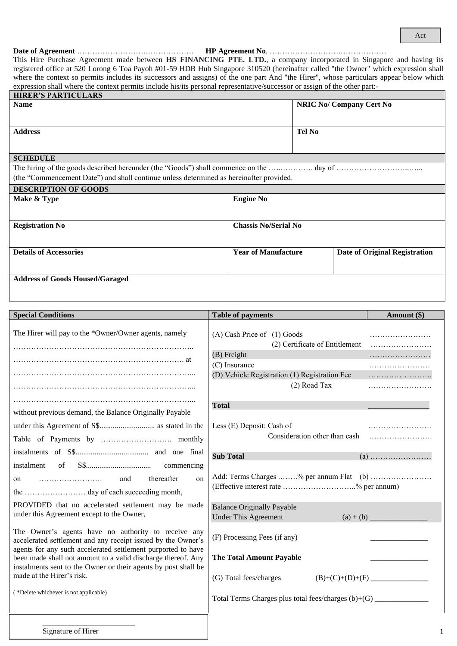### **Date of Agreement** ……………………….……………… **HP Agreement No**. ……………………….………………

This Hire Purchase Agreement made between **HS FINANCING PTE. LTD.**, a company incorporated in Singapore and having its registered office at 520 Lorong 6 Toa Payoh #01-59 HDB Hub Singapore 310520 (hereinafter called "the Owner" which expression shall where the context so permits includes its successors and assigns) of the one part And "the Hirer", whose particulars appear below which expression shall where the context permits include his/its personal representative/successor or assign of the other part:-

| <b>HIRER'S PARTICULARS</b>                                                              |                             |                                      |  |  |  |
|-----------------------------------------------------------------------------------------|-----------------------------|--------------------------------------|--|--|--|
| <b>Name</b>                                                                             |                             | <b>NRIC No/ Company Cert No</b>      |  |  |  |
|                                                                                         |                             |                                      |  |  |  |
| <b>Address</b>                                                                          |                             | <b>Tel No</b>                        |  |  |  |
|                                                                                         |                             |                                      |  |  |  |
| <b>SCHEDULE</b>                                                                         |                             |                                      |  |  |  |
|                                                                                         |                             |                                      |  |  |  |
| (the "Commencement Date") and shall continue unless determined as hereinafter provided. |                             |                                      |  |  |  |
| <b>DESCRIPTION OF GOODS</b>                                                             |                             |                                      |  |  |  |
| Make & Type                                                                             | <b>Engine No</b>            |                                      |  |  |  |
|                                                                                         |                             |                                      |  |  |  |
| <b>Registration No</b>                                                                  | <b>Chassis No/Serial No</b> |                                      |  |  |  |
|                                                                                         |                             |                                      |  |  |  |
| <b>Details of Accessories</b>                                                           | <b>Year of Manufacture</b>  | <b>Date of Original Registration</b> |  |  |  |
|                                                                                         |                             |                                      |  |  |  |
| <b>Address of Goods Housed/Garaged</b>                                                  |                             |                                      |  |  |  |

| <b>Special Conditions</b>                                                                                                                                                                                                                                                                                                                                                                       | <b>Table of payments</b>                                                                                                                                       | Amount (\$)                      |
|-------------------------------------------------------------------------------------------------------------------------------------------------------------------------------------------------------------------------------------------------------------------------------------------------------------------------------------------------------------------------------------------------|----------------------------------------------------------------------------------------------------------------------------------------------------------------|----------------------------------|
| The Hirer will pay to the *Owner/Owner agents, namely                                                                                                                                                                                                                                                                                                                                           | (A) Cash Price of (1) Goods<br>(2) Certificate of Entitlement<br>(B) Freight<br>(C) Insurance<br>(D) Vehicle Registration (1) Registration Fee<br>(2) Road Tax |                                  |
| without previous demand, the Balance Originally Payable                                                                                                                                                                                                                                                                                                                                         | <b>Total</b><br>Less (E) Deposit: Cash of<br>Consideration other than cash                                                                                     |                                  |
| instalment of<br>thereafter<br>on<br>on<br>PROVIDED that no accelerated settlement may be made                                                                                                                                                                                                                                                                                                  | <b>Sub Total</b><br>Add: Terms Charges % per annum Flat (b)<br>(Effective interest rate % per annum)<br><b>Balance Originally Payable</b>                      |                                  |
| under this Agreement except to the Owner,<br>The Owner's agents have no authority to receive any<br>accelerated settlement and any receipt issued by the Owner's<br>agents for any such accelerated settlement purported to have<br>been made shall not amount to a valid discharge thereof. Any<br>instalments sent to the Owner or their agents by post shall be<br>made at the Hirer's risk. | <b>Under This Agreement</b><br>(F) Processing Fees (if any)<br><b>The Total Amount Payable</b><br>(G) Total fees/charges                                       | $(a) + (b)$<br>$(B)+(C)+(D)+(F)$ |
| (*Delete whichever is not applicable)<br>Signature of Hirer                                                                                                                                                                                                                                                                                                                                     | Total Terms Charges plus total fees/charges (b)+(G) _____________________________                                                                              | 1                                |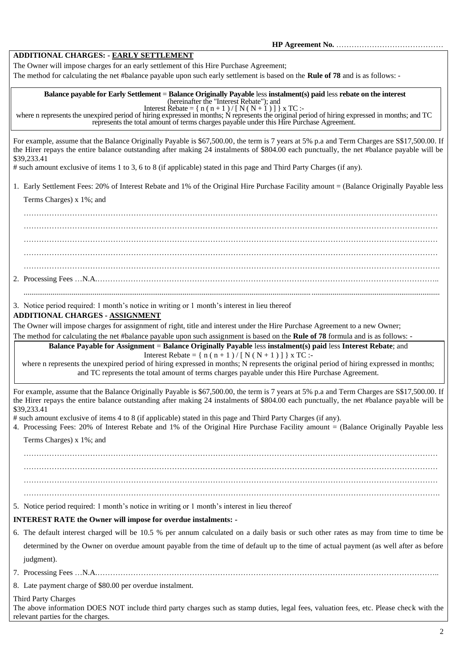**HP Agreement No.** ……………………………………

# **ADDITIONAL CHARGES: - EARLY SETTLEMENT**

The Owner will impose charges for an early settlement of this Hire Purchase Agreement;

The method for calculating the net #balance payable upon such early settlement is based on the **Rule of 78** and is as follows: -

#### **Balance payable for Early Settlement** = **Balance Originally Payable** less **instalment(s) paid** less **rebate on the interest** (hereinafter the "Interest Rebate"); and

Interest Rebate =  $\{ n (n+1) / [ N(N+1) ] \}$  x TC :-

where n represents the unexpired period of hiring expressed in months; N represents the original period of hiring expressed in months; and TC represents the total amount of terms charges payable under this Hire Purchase Agreement.

For example, assume that the Balance Originally Payable is \$67,500.00, the term is 7 years at 5% p.a and Term Charges are S\$17,500.00. If the Hirer repays the entire balance outstanding after making 24 instalments of \$804.00 each punctually, the net #balance payable will be \$39,233.41

# such amount exclusive of items 1 to 3, 6 to 8 (if applicable) stated in this page and Third Party Charges (if any).

1. Early Settlement Fees: 20% of Interest Rebate and 1% of the Original Hire Purchase Facility amount = (Balance Originally Payable less

Terms Charges) x 1%; and

……………………………………………………………………………………………………………………………………………… ……………………………………………………………………………………………………………………………………………… ……………………………………………………………………………………………………………………………………………… ……………………………………………………………………………………………………………………………………………… ………………………………………………………………………………………………………………………………………………. 2. Processing Fees …N.A.…………………………………………………………………………………………………………………….. .........................................................................................................................................................................................................................

3. Notice period required: 1 month's notice in writing or 1 month's interest in lieu thereof

# **ADDITIONAL CHARGES - ASSIGNMENT**

The Owner will impose charges for assignment of right, title and interest under the Hire Purchase Agreement to a new Owner;

The method for calculating the net #balance payable upon such assignment is based on the **Rule of 78** formula and is as follows: -

**Balance Payable for Assignment** = **Balance Originally Payable** less **instalment(s) paid** less **Interest Rebate**; and Interest Rebate =  $\{ n (n+1) / [ N ( N + 1 ) ] \}$  x TC :-

where n represents the unexpired period of hiring expressed in months; N represents the original period of hiring expressed in months; and TC represents the total amount of terms charges payable under this Hire Purchase Agreement.

For example, assume that the Balance Originally Payable is \$67,500.00, the term is 7 years at 5% p.a and Term Charges are S\$17,500.00. If the Hirer repays the entire balance outstanding after making 24 instalments of \$804.00 each punctually, the net #balance payable will be \$39,233.41

# such amount exclusive of items 4 to 8 (if applicable) stated in this page and Third Party Charges (if any).

4. Processing Fees: 20% of Interest Rebate and 1% of the Original Hire Purchase Facility amount = (Balance Originally Payable less

Terms Charges) x 1%; and

……………………………………………………………………………………………………………………………………………… ……………………………………………………………………………………………………………………………………………… ……………………………………………………………………………………………………………………………………………… ……………………………………………………………………………………………………………………………………………….

5. Notice period required: 1 month's notice in writing or 1 month's interest in lieu thereof

# **INTEREST RATE the Owner will impose for overdue instalments: -**

- 6. The default interest charged will be 10.5 % per annum calculated on a daily basis or such other rates as may from time to time be determined by the Owner on overdue amount payable from the time of default up to the time of actual payment (as well after as before judgment).
- 7. Processing Fees …N.A.……………………………………………………………………………………………………………………..
- 8. Late payment charge of \$80.00 per overdue instalment.

Third Party Charges

The above information DOES NOT include third party charges such as stamp duties, legal fees, valuation fees, etc. Please check with the relevant parties for the charges.